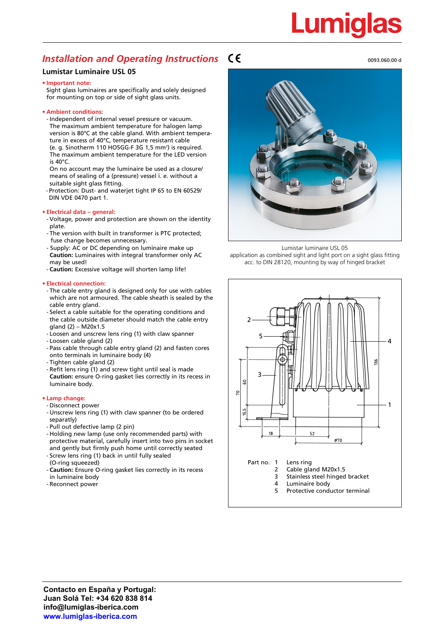# **Lumiglas**

### *Installation and Operating Instructions*

### **Lumistar Luminaire USL 05**

### **• Important note:**

Sight glass luminaires are specifically and solely designed for mounting on top or side of sight glass units.

### **• Ambient conditions:**

- Independent of internal vessel pressure or vacuum. The maximum ambient temperature for halogen lamp version is 80°C at the cable gland. With ambient temperature in excess of 40°C, temperature resistant cable (e. g. Sinotherm 110 HO5GG-F 3G 1,5 mm2 ) is required. The maximum ambient temperature for the LED version is 40°C.

On no account may the luminaire be used as a closure/ means of sealing of a (pressure) vessel i. e. without a suitable sight glass fitting.

- Protection: Dust- and waterjet tight IP 65 to EN 60529/ DIN VDE 0470 part 1.

### **• Electrical data – general:**

- Voltage, power and protection are shown on the identity plate.
- The version with built in transformer is PTC protected; fuse change becomes unnecessary.
- Supply: AC or DC depending on luminaire make up **Caution:** Luminaires with integral transformer only AC may be used!
- **Caution:** Excessive voltage will shorten lamp life!

### **• Electrical connection:**

- The cable entry gland is designed only for use with cables which are not armoured. The cable sheath is sealed by the cable entry gland.
- Select a cable suitable for the operating conditions and the cable outside diameter should match the cable entry gland (2) – M20x1.5
- Loosen and unscrew lens ring (1) with claw spanner
- Loosen cable gland (2)
- Pass cable through cable entry gland (2) and fasten cores onto terminals in luminaire body (4)
- Tighten cable gland (2)
- Refit lens ring (1) and screw tight until seal is made **Caution:** ensure O-ring gasket lies correctly in its recess in luminaire body.

### **• Lamp change:**

- Disconnect power
- Unscrew lens ring (1) with claw spanner (to be ordered separatly)
- Pull out defective lamp (2 pin)
- Holding new lamp (use only recommended parts) with protective material, carefully insert into two pins in socket and gently but firmly push home until correctly seated
- Screw lens ring (1) back in until fully sealed
- (O-ring squeezed)
- **Caution:** Ensure O-ring gasket lies correctly in its recess in luminaire body
- Reconnect power

Lumistar luminaire USL 05 application as combined sight and light port on a sight glass fitting acc. to DIN 28120, mounting by way of hinged bracket



0093.060.00 d